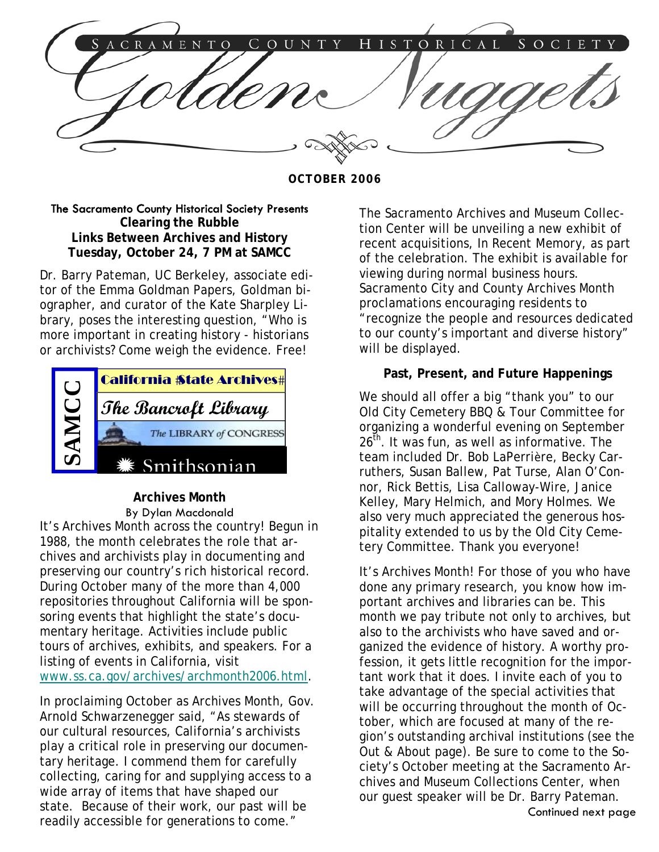

**OCTOBER 2006** 

### The Sacramento County Historical Society Presents **Clearing the Rubble Links Between Archives and History Tuesday, October 24, 7 PM at SAMCC**

Dr. Barry Pateman, UC Berkeley, associate editor of the Emma Goldman Papers, Goldman biographer, and curator of the Kate Sharpley Library, poses the interesting question, "Who is more important in creating history - historians or archivists? Come weigh the evidence. Free!



## **Archives Month**

By Dylan Macdonald It's Archives Month across the country! Begun in 1988, the month celebrates the role that archives and archivists play in documenting and preserving our country's rich historical record. During October many of the more than 4,000 repositories throughout California will be sponsoring events that highlight the state's documentary heritage. Activities include public tours of archives, exhibits, and speakers. For a listing of events in California, visit www.ss.ca.gov/archives/archmonth2006.html.

In proclaiming October as Archives Month, Gov. Arnold Schwarzenegger said, "As stewards of our cultural resources, California's archivists play a critical role in preserving our documentary heritage. I commend them for carefully collecting, caring for and supplying access to a wide array of items that have shaped our state. Because of their work, our past will be readily accessible for generations to come."

The Sacramento Archives and Museum Collection Center will be unveiling a new exhibit of recent acquisitions, *In Recent Memory*, as part of the celebration. The exhibit is available for viewing during normal business hours. Sacramento City and County Archives Month proclamations encouraging residents to "recognize the people and resources dedicated to our county's important and diverse history" will be displayed.

## **Past, Present, and Future Happenings**

We should all offer a big "thank you" to our Old City Cemetery BBQ & Tour Committee for organizing a wonderful evening on September 26<sup>th</sup>. It was fun, as well as informative. The team included Dr. Bob LaPerrière, Becky Carruthers, Susan Ballew, Pat Turse, Alan O'Connor, Rick Bettis, Lisa Calloway-Wire, Janice Kelley, Mary Helmich, and Mory Holmes. We also very much appreciated the generous hospitality extended to us by the Old City Cemetery Committee. Thank you everyone!

It's Archives Month! For those of you who have done any primary research, you know how important archives and libraries can be. This month we pay tribute not only to archives, but also to the archivists who have saved and organized the evidence of history. A worthy profession, it gets little recognition for the important work that it does. I invite each of you to take advantage of the special activities that will be occurring throughout the month of October, which are focused at many of the region's outstanding archival institutions (see the Out & About page). Be sure to come to the Society's October meeting at the Sacramento Archives and Museum Collections Center, when our guest speaker will be Dr. Barry Pateman. Continued next page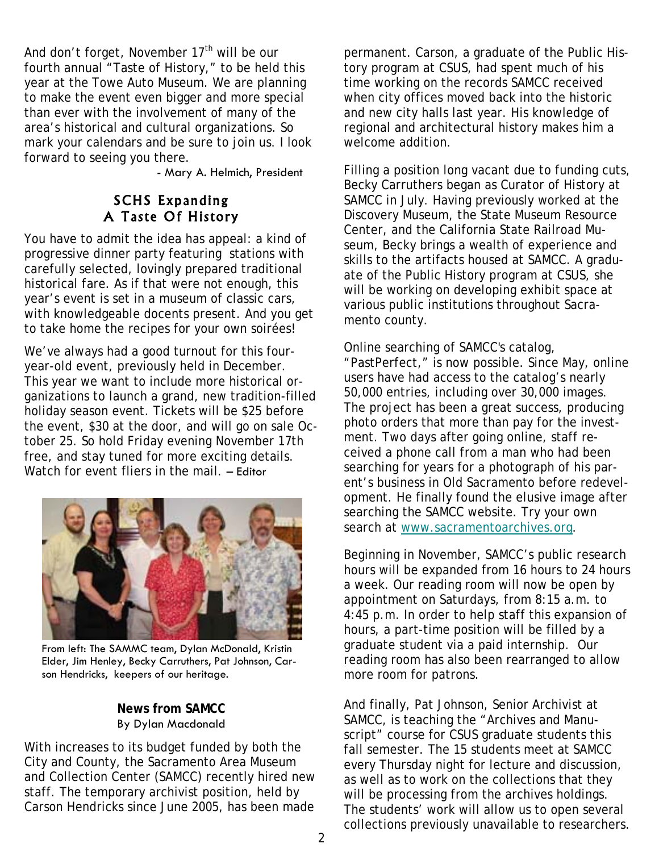And don't forget, November  $17<sup>th</sup>$  will be our fourth annual "Taste of History," to be held this year at the Towe Auto Museum. We are planning to make the event even bigger and more special than ever with the involvement of many of the area's historical and cultural organizations. So mark your calendars and be sure to join us. I look forward to seeing you there.

- Mary A. Helmich, President

## SCHS Expanding A Taste Of History

You have to admit the idea has appeal: a kind of progressive dinner party featuring stations with carefully selected, lovingly prepared traditional historical fare. As if that were not enough, this year's event is set in a museum of classic cars, with knowledgeable docents present. And you get to take home the recipes for your own soirées!

We've always had a good turnout for this fouryear-old event, previously held in December. This year we want to include more historical organizations to launch a grand, new tradition-filled holiday season event. Tickets will be \$25 before the event, \$30 at the door, and will go on sale October 25. So hold Friday evening November 17th free, and stay tuned for more exciting details. Watch for event fliers in the mail. – Editor



From left: The SAMMC team, Dylan McDonald, Kristin Elder, Jim Henley, Becky Carruthers, Pat Johnson, Carson Hendricks, keepers of our heritage.

### **News from SAMCC**  By Dylan Macdonald

With increases to its budget funded by both the City and County, the Sacramento Area Museum and Collection Center (SAMCC) recently hired new staff. The temporary archivist position, held by Carson Hendricks since June 2005, has been made

permanent. Carson, a graduate of the Public History program at CSUS, had spent much of his time working on the records SAMCC received when city offices moved back into the historic and new city halls last year. His knowledge of regional and architectural history makes him a welcome addition.

Filling a position long vacant due to funding cuts, Becky Carruthers began as Curator of History at SAMCC in July. Having previously worked at the Discovery Museum, the State Museum Resource Center, and the California State Railroad Museum, Becky brings a wealth of experience and skills to the artifacts housed at SAMCC. A graduate of the Public History program at CSUS, she will be working on developing exhibit space at various public institutions throughout Sacramento county.

Online searching of SAMCC's catalog, *"*PastPerfect," is now possible. Since May, online users have had access to the catalog's nearly 50,000 entries, including over 30,000 images. The project has been a great success, producing photo orders that more than pay for the investment. Two days after going online, staff received a phone call from a man who had been searching for years for a photograph of his parent's business in Old Sacramento before redevelopment. He finally found the elusive image after searching the SAMCC website. Try your own search at www.sacramentoarchives.org.

Beginning in November, SAMCC's public research hours will be expanded from 16 hours to 24 hours a week. Our reading room will now be open by appointment on Saturdays, from 8:15 a.m. to 4:45 p.m. In order to help staff this expansion of hours, a part-time position will be filled by a graduate student via a paid internship. Our reading room has also been rearranged to allow more room for patrons.

And finally, Pat Johnson, Senior Archivist at SAMCC, is teaching the "Archives and Manuscript" course for CSUS graduate students this fall semester. The 15 students meet at SAMCC every Thursday night for lecture and discussion, as well as to work on the collections that they will be processing from the archives holdings. The students' work will allow us to open several collections previously unavailable to researchers.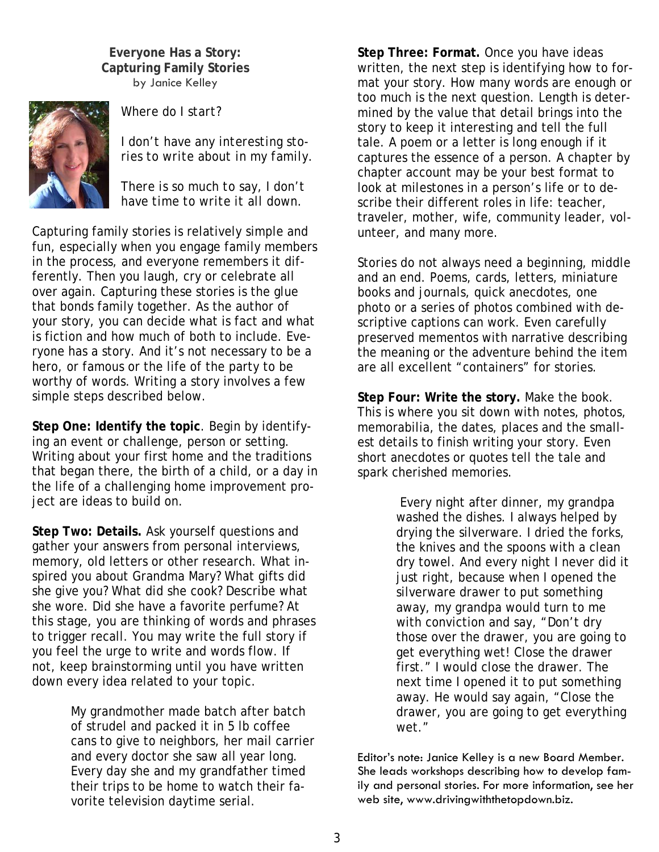**Everyone Has a Story: Capturing Family Stories**  by Janice Kelley



*Where do I start?* 

*I don't have any interesting stories to write about in my family.* 

*There is so much to say, I don't have time to write it all down.* 

Capturing family stories is relatively simple and fun, especially when you engage family members in the process, and everyone remembers it differently. Then you laugh, cry or celebrate all over again. Capturing these stories is the glue that bonds family together. As the author of your story, you can decide what is fact and what is fiction and how much of both to include. Everyone has a story. And it's not necessary to be a hero, or famous or the life of the party to be worthy of words. Writing a story involves a few simple steps described below.

**Step One: Identify the topic**. Begin by identifying an event or challenge, person or setting. Writing about your first home and the traditions that began there, the birth of a child, or a day in the life of a challenging home improvement project are ideas to build on.

**Step Two: Details.** Ask yourself questions and gather your answers from personal interviews, memory, old letters or other research. What inspired you about Grandma Mary? What gifts did she give you? What did she cook? Describe what she wore. Did she have a favorite perfume? At this stage, you are thinking of words and phrases to trigger recall. You may write the full story if you feel the urge to write and words flow. If not, keep brainstorming until you have written down every idea related to your topic.

> My grandmother made batch after batch of strudel and packed it in 5 lb coffee cans to give to neighbors, her mail carrier and every doctor she saw all year long. Every day she and my grandfather timed their trips to be home to watch their favorite television daytime serial.

**Step Three: Format.** Once you have ideas written, the next step is identifying how to format your story. How many words are enough or too much is the next question. Length is determined by the value that detail brings into the story to keep it interesting and tell the full tale. A poem or a letter is long enough if it captures the essence of a person. A chapter by chapter account may be your best format to look at milestones in a person's life or to describe their different roles in life: teacher, traveler, mother, wife, community leader, volunteer, and many more.

Stories do not always need a beginning, middle and an end. Poems, cards, letters, miniature books and journals, quick anecdotes, one photo or a series of photos combined with descriptive captions can work. Even carefully preserved mementos with narrative describing the meaning or the adventure behind the item are all excellent "containers" for stories.

**Step Four: Write the story.** Make the book. This is where you sit down with notes, photos, memorabilia, the dates, places and the smallest details to finish writing your story. Even short anecdotes or quotes tell the tale and spark cherished memories.

> Every night after dinner, my grandpa washed the dishes. I always helped by drying the silverware. I dried the forks, the knives and the spoons with a clean dry towel. And every night I never did it just right, because when I opened the silverware drawer to put something away, my grandpa would turn to me with conviction and say, "Don't dry those over the drawer, you are going to get everything wet! Close the drawer first." I would close the drawer. The next time I opened it to put something away. He would say again, "Close the drawer, you are going to get everything wet*."*

Editor's note: Janice Kelley is a new Board Member. She leads workshops describing how to develop family and personal stories. For more information, see her web site, www.drivingwiththetopdown.biz.